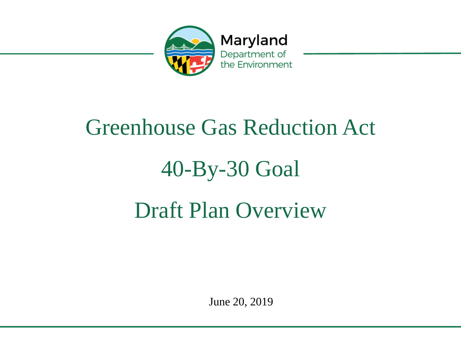

# Greenhouse Gas Reduction Act 40-By-30 Goal Draft Plan Overview

June 20, 2019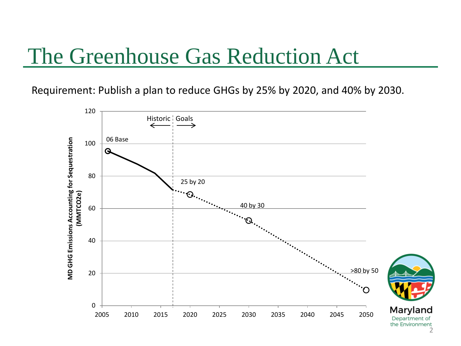#### The Greenhouse Gas Reduction Act

Requirement: Publish a plan to reduce GHGs by 25% by 2020, and 40% by 2030.



the Environment 2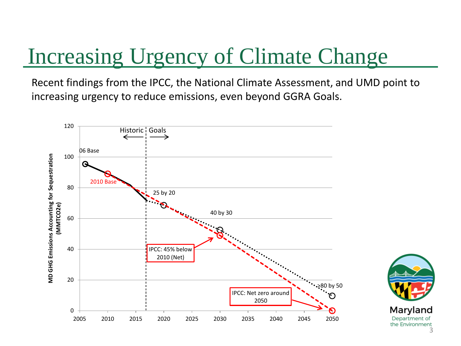# Increasing Urgency of Climate Change

Recent findings from the IPCC, the National Climate Assessment, and UMD point to increasing urgency to reduce emissions, even beyond GGRA Goals.



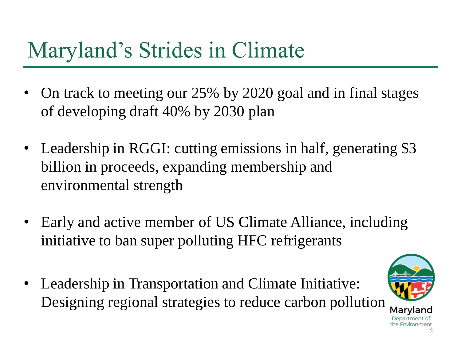# Maryland's Strides in Climate

- On track to meeting our 25% by 2020 goal and in final stages of developing draft 40% by 2030 plan
- Leadership in RGGI: cutting emissions in half, generating \$3 billion in proceeds, expanding membership and environmental strength
- Early and active member of US Climate Alliance, including initiative to ban super polluting HFC refrigerants
- Leadership in Transportation and Climate Initiative: Designing regional strategies to reduce carbon pollution

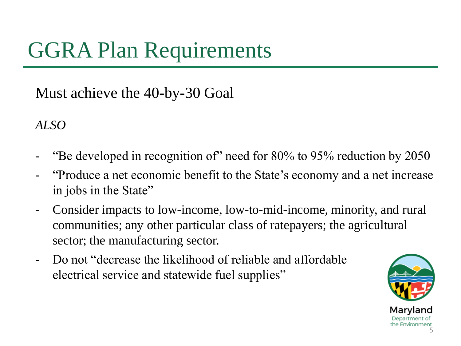# GGRA Plan Requirements

Must achieve the 40-by-30 Goal

*ALSO*

- "Be developed in recognition of" need for 80% to 95% reduction by 2050
- "Produce a net economic benefit to the State's economy and a net increase in jobs in the State"
- Consider impacts to low-income, low-to-mid-income, minority, and rural communities; any other particular class of ratepayers; the agricultural sector; the manufacturing sector.
- Do not "decrease the likelihood of reliable and affordable electrical service and statewide fuel supplies"

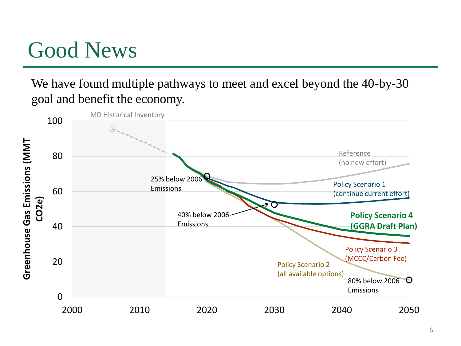#### Good News

We have found multiple pathways to meet and excel beyond the 40-by-30 goal and benefit the economy.

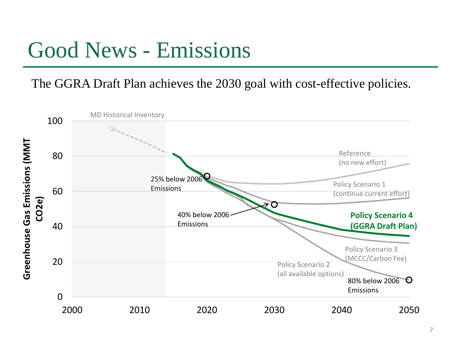#### Good News - Emissions

The GGRA Draft Plan achieves the 2030 goal with cost-effective policies.

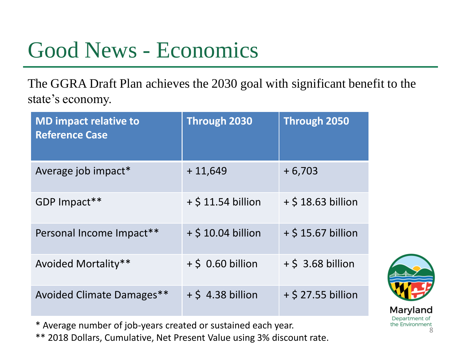### Good News - Economics

The GGRA Draft Plan achieves the 2030 goal with significant benefit to the state's economy.

| <b>MD impact relative to</b><br><b>Reference Case</b> | <b>Through 2030</b>  | <b>Through 2050</b>  |
|-------------------------------------------------------|----------------------|----------------------|
| Average job impact*                                   | $+11,649$            | $+6,703$             |
| GDP Impact**                                          | $+$ \$ 11.54 billion | $+$ \$ 18.63 billion |
| Personal Income Impact**                              | $+$ \$ 10.04 billion | $+$ \$ 15.67 billion |
| Avoided Mortality**                                   | $+$ \$ 0.60 billion  | $+$ \$ 3.68 billion  |
| Avoided Climate Damages**                             | $+$ \$ 4.38 billion  | $+$ \$ 27.55 billion |



Department of the Environment 8

\* Average number of job-years created or sustained each year.

\*\* 2018 Dollars, Cumulative, Net Present Value using 3% discount rate.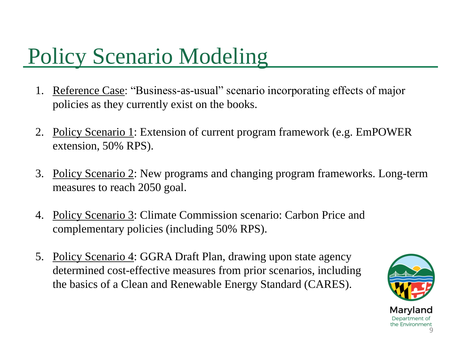# Policy Scenario Modeling

- 1. Reference Case: "Business-as-usual" scenario incorporating effects of major policies as they currently exist on the books.
- 2. Policy Scenario 1: Extension of current program framework (e.g. EmPOWER extension, 50% RPS).
- 3. Policy Scenario 2: New programs and changing program frameworks. Long-term measures to reach 2050 goal.
- 4. Policy Scenario 3: Climate Commission scenario: Carbon Price and complementary policies (including 50% RPS).
- 5. Policy Scenario 4: GGRA Draft Plan, drawing upon state agency determined cost-effective measures from prior scenarios, including the basics of a Clean and Renewable Energy Standard (CARES).

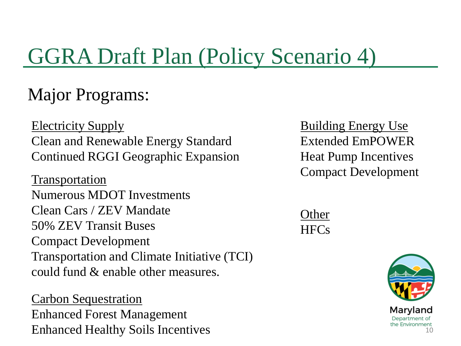# GGRA Draft Plan (Policy Scenario 4)

#### Major Programs:

Electricity Supply Clean and Renewable Energy Standard Continued RGGI Geographic Expansion

Compact Development Transportation Numerous MDOT Investments Clean Cars / ZEV Mandate 50% ZEV Transit Buses Compact Development Transportation and Climate Initiative (TCI) could fund & enable other measures.

Carbon Sequestration Enhanced Forest Management Enhanced Healthy Soils Incentives **Building Energy Use** Extended EmPOWER Heat Pump Incentives

| Other |
|-------|
| HFC   |

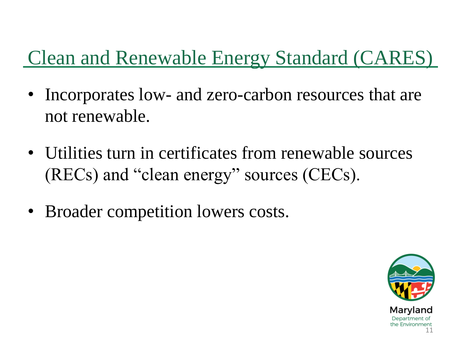#### Clean and Renewable Energy Standard (CARES)

- Incorporates low- and zero-carbon resources that are not renewable.
- Utilities turn in certificates from renewable sources (RECs) and "clean energy" sources (CECs).
- Broader competition lowers costs.

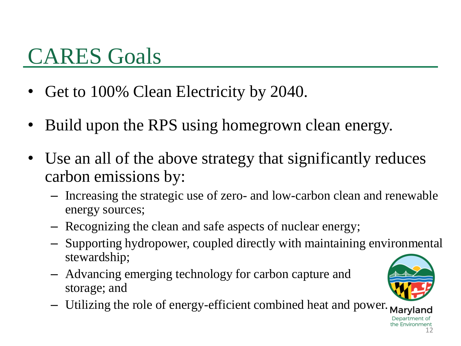# CARES Goals

- Get to 100% Clean Electricity by 2040.
- Build upon the RPS using homegrown clean energy.
- Use an all of the above strategy that significantly reduces carbon emissions by:
	- Increasing the strategic use of zero- and low-carbon clean and renewable energy sources;
	- Recognizing the clean and safe aspects of nuclear energy;
	- Supporting hydropower, coupled directly with maintaining environmental stewardship;
	- Advancing emerging technology for carbon capture and storage; and
	- Utilizing the role of energy-efficient combined heat and power. Maryland



Denartme the Environment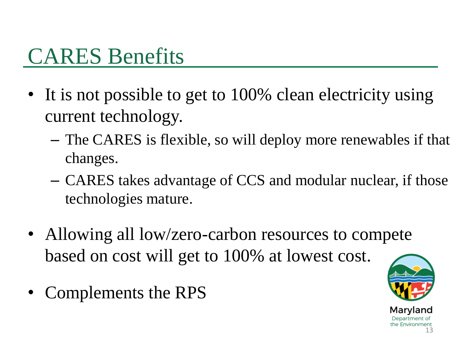### CARES Benefits

- It is not possible to get to 100% clean electricity using current technology.
	- The CARES is flexible, so will deploy more renewables if that changes.
	- CARES takes advantage of CCS and modular nuclear, if those technologies mature.
- Allowing all low/zero-carbon resources to compete based on cost will get to 100% at lowest cost.
- Complements the RPS

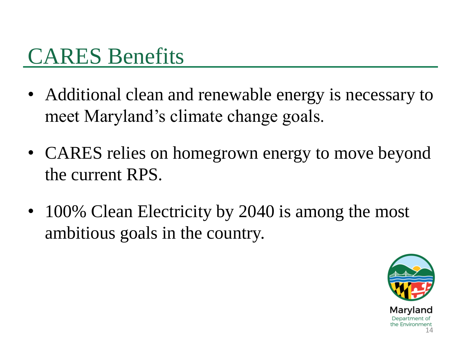### CARES Benefits

- Additional clean and renewable energy is necessary to meet Maryland's climate change goals.
- CARES relies on homegrown energy to move beyond the current RPS.
- 100% Clean Electricity by 2040 is among the most ambitious goals in the country.

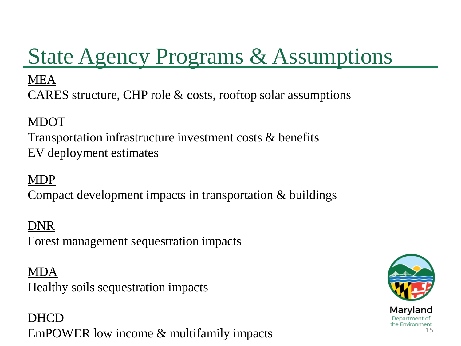# State Agency Programs & Assumptions

#### MEA

CARES structure, CHP role & costs, rooftop solar assumptions

#### MDOT

Transportation infrastructure investment costs & benefits EV deployment estimates

#### MDP

Compact development impacts in transportation & buildings

#### DNR

Forest management sequestration impacts

#### MDA

Healthy soils sequestration impacts

DHCD EmPOWER low income & multifamily impacts

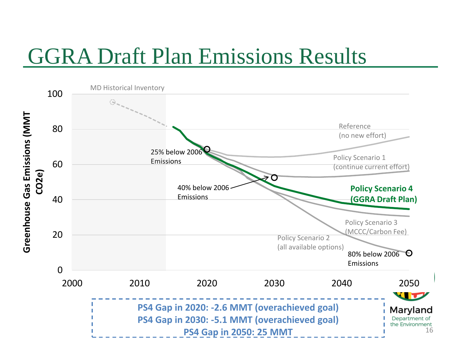### GGRA Draft Plan Emissions Results

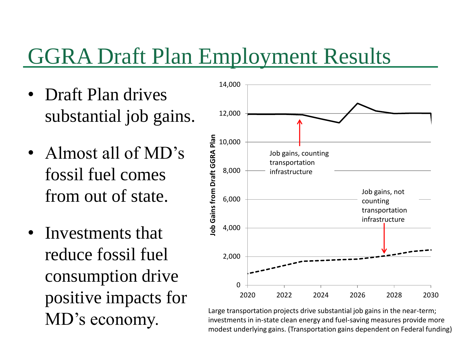### GGRA Draft Plan Employment Results

- Draft Plan drives substantial job gains.
- Almost all of MD's fossil fuel comes from out of state.
- Investments that reduce fossil fuel consumption drive positive impacts for MD's economy.



17 modest underlying gains. (Transportation gains dependent on Federal funding) Large transportation projects drive substantial job gains in the near-term; investments in in-state clean energy and fuel-saving measures provide more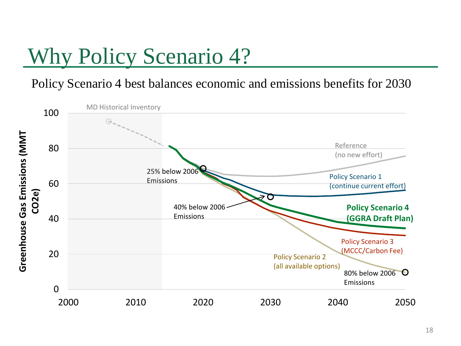# Why Policy Scenario 4?

Policy Scenario 4 best balances economic and emissions benefits for 2030

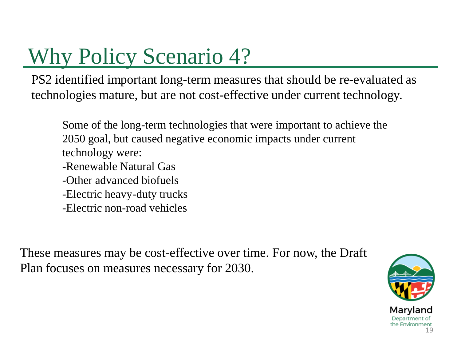# Why Policy Scenario 4?

PS2 identified important long-term measures that should be re-evaluated as technologies mature, but are not cost-effective under current technology.

Some of the long-term technologies that were important to achieve the 2050 goal, but caused negative economic impacts under current technology were:

- -Renewable Natural Gas
- -Other advanced biofuels
- -Electric heavy-duty trucks
- -Electric non-road vehicles

These measures may be cost-effective over time. For now, the Draft Plan focuses on measures necessary for 2030.